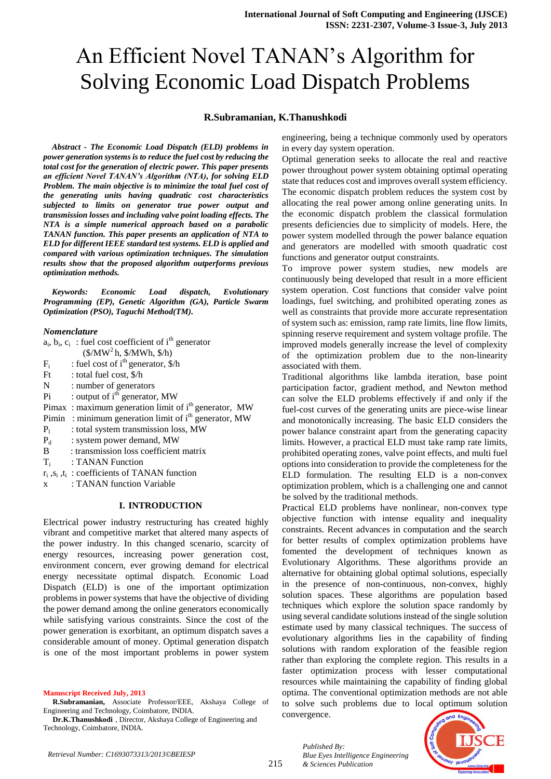# An Efficient Novel TANAN's Algorithm for Solving Economic Load Dispatch Problems

# **R.Subramanian, K.Thanushkodi**

*Abstract - The Economic Load Dispatch (ELD) problems in power generation systems is to reduce the fuel cost by reducing the total cost for the generation of electric power. This paper presents an efficient Novel TANAN's Algorithm (NTA), for solving ELD Problem. The main objective is to minimize the total fuel cost of the generating units having quadratic cost characteristics subjected to limits on generator true power output and transmission losses and including valve point loading effects. The NTA is a simple numerical approach based on a parabolic TANAN function. This paper presents an application of NTA to ELD for different IEEE standard test systems. ELD is applied and compared with various optimization techniques. The simulation results show that the proposed algorithm outperforms previous optimization methods.*

*Keywords: Economic Load dispatch, Evolutionary Programming (EP), Genetic Algorithm (GA), Particle Swarm Optimization (PSO), Taguchi Method(TM).* 

#### *Nomenclature*

|       | $a_i$ , $b_i$ , $c_i$ : fuel cost coefficient of i <sup>th</sup> generator |
|-------|----------------------------------------------------------------------------|
|       | $(\frac{5}{MW^2}h, \frac{5}{MW}h, \frac{5}{h})$                            |
| $F_i$ | : fuel cost of $ith$ generator, $\frac{1}{2}$ h                            |
|       | Ft : total fuel cost, $\frac{\pi}{2}$                                      |
| N.    | : number of generators                                                     |
| Pi    | : output of $ith$ generator, MW                                            |
|       | Pimax: maximum generation limit of i <sup>th</sup> generator, MW           |
|       | Pimin : minimum generation limit of $ith$ generator, MW                    |
| $P_1$ | : total system transmission loss, MW                                       |
| $P_d$ | : system power demand, MW                                                  |
| B.    | : transmission loss coefficient matrix                                     |
|       | $T_i$ : TANAN Function                                                     |
|       | $r_i$ , $s_i$ , $t_i$ : coefficients of TANAN function                     |
|       |                                                                            |

x : TANAN function Variable

# **I. INTRODUCTION**

Electrical power industry restructuring has created highly vibrant and competitive market that altered many aspects of the power industry. In this changed scenario, scarcity of energy resources, increasing power generation cost, environment concern, ever growing demand for electrical energy necessitate optimal dispatch. Economic Load Dispatch (ELD) is one of the important optimization problems in power systems that have the objective of dividing the power demand among the online generators economically while satisfying various constraints. Since the cost of the power generation is exorbitant, an optimum dispatch saves a considerable amount of money. Optimal generation dispatch is one of the most important problems in power system

#### **Manuscript Received July, 2013**

**R.Subramanian,** Associate Professor/EEE, Akshaya College of Engineering and Technology, Coimbatore, INDIA.

**Dr.K.Thanushkodi** , Director, Akshaya College of Engineering and Technology, Coimbatore, INDIA.

engineering, being a technique commonly used by operators in every day system operation.

Optimal generation seeks to allocate the real and reactive power throughout power system obtaining optimal operating state that reduces cost and improves overall system efficiency. The economic dispatch problem reduces the system cost by allocating the real power among online generating units. In the economic dispatch problem the classical formulation presents deficiencies due to simplicity of models. Here, the power system modelled through the power balance equation and generators are modelled with smooth quadratic cost functions and generator output constraints.

To improve power system studies, new models are continuously being developed that result in a more efficient system operation. Cost functions that consider valve point loadings, fuel switching, and prohibited operating zones as well as constraints that provide more accurate representation of system such as: emission, ramp rate limits, line flow limits, spinning reserve requirement and system voltage profile. The improved models generally increase the level of complexity of the optimization problem due to the non-linearity associated with them.

Traditional algorithms like lambda iteration, base point participation factor, gradient method, and Newton method can solve the ELD problems effectively if and only if the fuel-cost curves of the generating units are piece-wise linear and monotonically increasing. The basic ELD considers the power balance constraint apart from the generating capacity limits. However, a practical ELD must take ramp rate limits, prohibited operating zones, valve point effects, and multi fuel options into consideration to provide the completeness for the ELD formulation. The resulting ELD is a non-convex optimization problem, which is a challenging one and cannot be solved by the traditional methods.

Practical ELD problems have nonlinear, non-convex type objective function with intense equality and inequality constraints. Recent advances in computation and the search for better results of complex optimization problems have fomented the development of techniques known as Evolutionary Algorithms. These algorithms provide an alternative for obtaining global optimal solutions, especially in the presence of non-continuous, non-convex, highly solution spaces. These algorithms are population based techniques which explore the solution space randomly by using several candidate solutions instead of the single solution estimate used by many classical techniques. The success of evolutionary algorithms lies in the capability of finding solutions with random exploration of the feasible region rather than exploring the complete region. This results in a faster optimization process with lesser computational resources while maintaining the capability of finding global optima. The conventional optimization methods are not able to solve such problems due to local optimum solution convergence.



*Published By:*

*& Sciences Publication*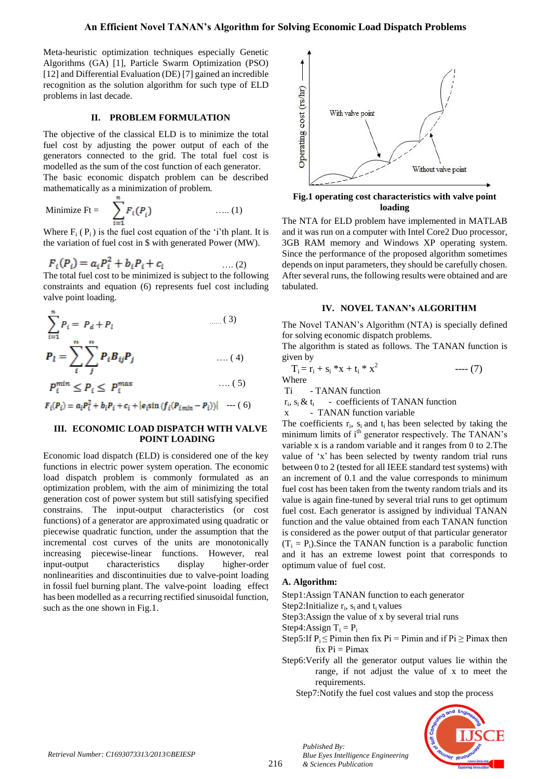Meta-heuristic optimization techniques especially Genetic Algorithms (GA) [1], Particle Swarm Optimization (PSO) [12] and Differential Evaluation (DE) [7] gained an incredible recognition as the solution algorithm for such type of ELD problems in last decade.

# **II. PROBLEM FORMULATION**

The objective of the classical ELD is to minimize the total fuel cost by adjusting the power output of each of the generators connected to the grid. The total fuel cost is modelled as the sum of the cost function of each generator. The basic economic dispatch problem can be described mathematically as a minimization of problem.

$$
\text{Minimize } \mathbf{F}t = \sum_{i=1}^{n} F_i(P_i) \quad \text{.... (1)}
$$

Where  $F_i(P_i)$  is the fuel cost equation of the 'i'th plant. It is the variation of fuel cost in \$ with generated Power (MW).

$$
F_i(P_i) = a_i P_i^2 + b_i P_i + c_i
$$
 (2)

The total fuel cost to be minimized is subject to the following constraints and equation (6) represents fuel cost including valve point loading.

$$
\sum_{i=1}^{n} P_i = P_d + P_l \qquad \qquad \dots (3)
$$
  

$$
P_l = \sum_{i}^{n} \sum_{j}^{n} P_i B_{ij} P_j \qquad \qquad \dots (4)
$$

$$
P_i^{min} \le P_i \le P_i^{max} \qquad \qquad \ldots (5)
$$

 $F_i(P_i) = a_i P_i^2 + b_i P_i + c_i + |e_i \sin(f_i (P_{i \min} - P_i))|$  --- (6)

## **III. ECONOMIC LOAD DISPATCH WITH VALVE POINT LOADING**

Economic load dispatch (ELD) is considered one of the key functions in electric power system operation. The economic load dispatch problem is commonly formulated as an optimization problem, with the aim of minimizing the total generation cost of power system but still satisfying specified constrains. The input-output characteristics (or cost functions) of a generator are approximated using quadratic or piecewise quadratic function, under the assumption that the incremental cost curves of the units are monotonically increasing piecewise-linear functions. However, real input-output characteristics display higher-order nonlinearities and discontinuities due to valve-point loading in fossil fuel burning plant. The valve-point loading effect has been modelled as a recurring rectified sinusoidal function, such as the one shown in Fig.1.



**Fig.1 operating cost characteristics with valve point loading**

The NTA for ELD problem have implemented in MATLAB and it was run on a computer with Intel Core2 Duo processor, 3GB RAM memory and Windows XP operating system. Since the performance of the proposed algorithm sometimes depends on input parameters, they should be carefully chosen. After several runs, the following results were obtained and are tabulated.

# **IV. NOVEL TANAN's ALGORITHM**

The Novel TANAN's Algorithm (NTA) is specially defined for solving economic dispatch problems.

The algorithm is stated as follows. The TANAN function is given by

$$
T_i = r_i + s_i * x + t_i * x^2
$$
 ----(7)  
Where

Ti - TANAN function

 $r_i$ ,  $s_i \& t_i$ - coefficients of TANAN function

x - TANAN function variable

The coefficients  $r_i$ ,  $s_i$  and  $t_i$  has been selected by taking the minimum limits of i<sup>th</sup> generator respectively. The TANAN's variable x is a random variable and it ranges from 0 to 2.The value of 'x' has been selected by twenty random trial runs between 0 to 2 (tested for all IEEE standard test systems) with an increment of 0.1 and the value corresponds to minimum fuel cost has been taken from the twenty random trials and its value is again fine-tuned by several trial runs to get optimum fuel cost. Each generator is assigned by individual TANAN function and the value obtained from each TANAN function is considered as the power output of that particular generator  $(T_i = P_i)$ . Since the TANAN function is a parabolic function and it has an extreme lowest point that corresponds to optimum value of fuel cost.

### **A. Algorithm:**

Step1:Assign TANAN function to each generator

Step2: Initialize  $r_i$ ,  $s_i$  and  $t_i$  values

Step3:Assign the value of x by several trial runs

Step4: Assign  $T_i = P_i$ 

*Published By:*

*& Sciences Publication* 

*Blue Eyes Intelligence Engineering* 

- Step5:If  $P_i \leq$  Pimin then fix  $Pi =$  Pimin and if  $Pi \geq$  Pimax then  $fix$   $Pi$  =  $Pimax$
- Step6:Verify all the generator output values lie within the range, if not adjust the value of x to meet the requirements.

Step7:Notify the fuel cost values and stop the process

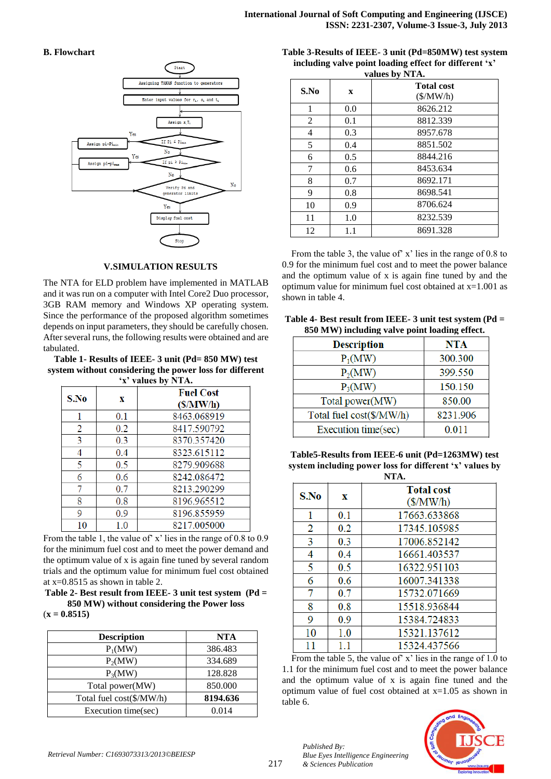## **B. Flowchart**



## **V.SIMULATION RESULTS**

The NTA for ELD problem have implemented in MATLAB and it was run on a computer with Intel Core2 Duo processor, 3GB RAM memory and Windows XP operating system. Since the performance of the proposed algorithm sometimes depends on input parameters, they should be carefully chosen. After several runs, the following results were obtained and are tabulated.

### **Table 1- Results of IEEE- 3 unit (Pd= 850 MW) test system without considering the power loss for different 'x' values by NTA.**

| $\lambda$ values by NTA. |     |                              |  |  |  |  |
|--------------------------|-----|------------------------------|--|--|--|--|
| S.No                     | x   | <b>Fuel Cost</b><br>(S/MW/h) |  |  |  |  |
| 1                        | 0.1 | 8463.068919                  |  |  |  |  |
| 2                        | 0.2 | 8417.590792                  |  |  |  |  |
| 3                        | 0.3 | 8370.357420                  |  |  |  |  |
| 4                        | 0.4 | 8323.615112                  |  |  |  |  |
| 5                        | 0.5 | 8279.909688                  |  |  |  |  |
| 6                        | 0.6 | 8242.086472                  |  |  |  |  |
| 7                        | 0.7 | 8213.290299                  |  |  |  |  |
| 8                        | 0.8 | 8196.965512                  |  |  |  |  |
| 9                        | 0.9 | 8196.855959                  |  |  |  |  |
| 10                       | 1.0 | 8217.005000                  |  |  |  |  |

From the table 1, the value of x' lies in the range of 0.8 to 0.9 for the minimum fuel cost and to meet the power demand and the optimum value of x is again fine tuned by several random trials and the optimum value for minimum fuel cost obtained at x=0.8515 as shown in table 2.

**Table 2- Best result from IEEE- 3 unit test system (Pd = 850 MW) without considering the Power loss**

|  | $(x = 0.8515)$ |
|--|----------------|
|  |                |

| <b>Description</b>       | <b>NTA</b> |
|--------------------------|------------|
| $P_1(MW)$                | 386.483    |
| $P_2(MW)$                | 334.689    |
| $P_3(MW)$                | 128.828    |
| Total power(MW)          | 850.000    |
| Total fuel cost(\$/MW/h) | 8194.636   |
| Execution time(sec)      | 0.014      |

**Table 3-Results of IEEE- 3 unit (Pd=850MW) test system including valve point loading effect for different 'x' values by NTA.**

| values by NTA. |             |                                      |  |  |  |  |
|----------------|-------------|--------------------------------------|--|--|--|--|
| S.No           | $\mathbf x$ | <b>Total cost</b><br>$(\frac{M}{N})$ |  |  |  |  |
| 1              | 0.0         | 8626.212                             |  |  |  |  |
| 2              | 0.1         | 8812.339                             |  |  |  |  |
| 4              | 0.3         | 8957.678                             |  |  |  |  |
| 5              | 0.4         | 8851.502                             |  |  |  |  |
| 6              | 0.5         | 8844.216                             |  |  |  |  |
| 7              | 0.6         | 8453.634                             |  |  |  |  |
| 8              | 0.7         | 8692.171                             |  |  |  |  |
| 9              | 0.8         | 8698.541                             |  |  |  |  |
| 10             | 0.9         | 8706.624                             |  |  |  |  |
| 11             | 1.0         | 8232.539                             |  |  |  |  |
| 12             | 1.1         | 8691.328                             |  |  |  |  |

From the table 3, the value of' x' lies in the range of 0.8 to 0.9 for the minimum fuel cost and to meet the power balance and the optimum value of x is again fine tuned by and the optimum value for minimum fuel cost obtained at x=1.001 as shown in table 4.

|  | Table 4- Best result from IEEE- $3$ unit test system (Pd = |  |  |
|--|------------------------------------------------------------|--|--|
|  | 850 MW) including valve point loading effect.              |  |  |

| <b>Description</b>       | <b>NTA</b> |
|--------------------------|------------|
| $P_1(MW)$                | 300.300    |
| $P_2(MW)$                | 399.550    |
| $P_3(MW)$                | 150.150    |
| Total power(MW)          | 850.00     |
| Total fuel cost(\$/MW/h) | 8231.906   |
| Execution time(sec)      | 0.011      |

**Table5-Results from IEEE-6 unit (Pd=1263MW) test system including power loss for different 'x' values by NTA.**

| 11.7 |     |                                      |  |  |  |  |  |
|------|-----|--------------------------------------|--|--|--|--|--|
| S.No | X   | <b>Total cost</b><br>$(\frac{M}{N})$ |  |  |  |  |  |
| 1    | 0.1 | 17663.633868                         |  |  |  |  |  |
| 2    | 0.2 | 17345.105985                         |  |  |  |  |  |
| 3    | 0.3 | 17006.852142                         |  |  |  |  |  |
| 4    | 0.4 | 16661.403537                         |  |  |  |  |  |
| 5    | 0.5 | 16322.951103                         |  |  |  |  |  |
| 6    | 0.6 | 16007.341338                         |  |  |  |  |  |
| 7    | 0.7 | 15732.071669                         |  |  |  |  |  |
| 8    | 0.8 | 15518.936844                         |  |  |  |  |  |
| 9    | 0.9 | 15384.724833                         |  |  |  |  |  |
| 10   | 1.0 | 15321.137612                         |  |  |  |  |  |
| 11   | 1.1 | 15324.437566                         |  |  |  |  |  |

From the table 5, the value of x' lies in the range of 1.0 to 1.1 for the minimum fuel cost and to meet the power balance and the optimum value of x is again fine tuned and the optimum value of fuel cost obtained at x=1.05 as shown in table 6.



*Published By:*

*& Sciences Publication*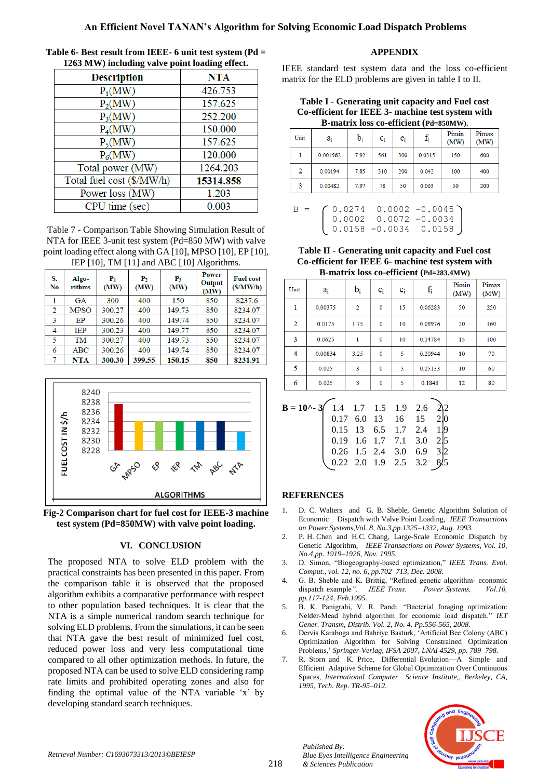# **An Efficient Novel TANAN's Algorithm for Solving Economic Load Dispatch Problems**

| <b>Description</b>        | <b>NTA</b> |
|---------------------------|------------|
| $P_1(MW)$                 | 426.753    |
| $P_2(MW)$                 | 157.625    |
| $P_3(MW)$                 | 252.200    |
| $P_4(MW)$                 | 150.000    |
| $P_5(MW)$                 | 157.625    |
| $P_6(MW)$                 | 120.000    |
| Total power (MW)          | 1264.203   |
| Total fuel cost (\$/MW/h) | 15314.858  |
| Power loss (MW)           | 1.203      |
| CPU time (sec)            | 0.003      |

**Table 6- Best result from IEEE- 6 unit test system (Pd = 1263 MW) including valve point loading effect.**

Table 7 - Comparison Table Showing Simulation Result of NTA for IEEE 3-unit test system (Pd=850 MW) with valve point loading effect along with GA [10], MPSO [10], EP [10], IEP [10], TM [11] and ABC [10] Algorithms.

|          | $1.01$ , $1.01$ , $1.01$ , $1.01$ , $1.00$ , $1.00$ , $1.01$ , $1.00$ , $1.00$ , $1.00$ , $1.00$ , $1.00$ , $1.00$ , $1.00$ , $1.00$ , $1.00$ , $1.00$ , $1.00$ , $1.00$ , $1.00$ , $1.00$ , $1.00$ , $1.00$ , $1.00$ , $1.00$ , $1.00$ , $1.00$ , $1.00$ |                       |                        |               |                                |                              |  |  |  |
|----------|-----------------------------------------------------------------------------------------------------------------------------------------------------------------------------------------------------------------------------------------------------------|-----------------------|------------------------|---------------|--------------------------------|------------------------------|--|--|--|
| S.<br>No | Algo-<br>rithms                                                                                                                                                                                                                                           | ${\bf P}_{1}$<br>(MW) | P <sub>2</sub><br>(MW) | $P_3$<br>(MW) | <b>Power</b><br>Output<br>(MW) | <b>Fuel cost</b><br>(S/MW/h) |  |  |  |
|          | <b>GA</b>                                                                                                                                                                                                                                                 | 300                   | 400                    | 150           | 850                            | 8237.6                       |  |  |  |
| 2        | <b>MPSO</b>                                                                                                                                                                                                                                               | 300.27                | 400                    | 149.73        | 850                            | 8234.07                      |  |  |  |
| 3        | EP                                                                                                                                                                                                                                                        | 300.26                | 400                    | 149.74        | 850                            | 8234.07                      |  |  |  |
| 4        | <b>IEP</b>                                                                                                                                                                                                                                                | 300.23                | 400                    | 149.77        | 850                            | 8234.07                      |  |  |  |
| 5        | TM                                                                                                                                                                                                                                                        | 300.27                | 400                    | 149.73        | 850                            | 8234.07                      |  |  |  |
| 6        | ABC                                                                                                                                                                                                                                                       | 300.26                | 400                    | 149.74        | 850                            | 8234.07                      |  |  |  |
|          | <b>NTA</b>                                                                                                                                                                                                                                                | 300.30                | 399.55                 | 150.15        | 850                            | 8231.91                      |  |  |  |



**Fig-2 Comparison chart for fuel cost for IEEE-3 machine test system (Pd=850MW) with valve point loading.**

## **VI. CONCLUSION**

The proposed NTA to solve ELD problem with the practical constraints has been presented in this paper. From the comparison table it is observed that the proposed algorithm exhibits a comparative performance with respect to other population based techniques. It is clear that the NTA is a simple numerical random search technique for solving ELD problems. From the simulations, it can be seen that NTA gave the best result of minimized fuel cost, reduced power loss and very less computational time compared to all other optimization methods. In future, the proposed NTA can be used to solve ELD considering ramp rate limits and prohibited operating zones and also for finding the optimal value of the NTA variable  $x'$  by developing standard search techniques.

# **APPENDIX**

IEEE standard test system data and the loss co-efficient matrix for the ELD problems are given in table I to II.

**Table I - Generating unit capacity and Fuel cost Co-efficient for IEEE 3- machine test system with B-matrix loss co-efficient (Pd=850MW).**

| Unit | $a_i$    | $b_i$ | $c_i$ | $\mathbf{e}_{\rm i}$ | $f_i$  | Pimin<br>(MW) | Pimax<br>(MW) |
|------|----------|-------|-------|----------------------|--------|---------------|---------------|
|      | 0.001562 | 7.92  | 561   | 300                  | 0.0315 | 150           | 600           |
| 2    | 0.00194  | 7.85  | 310   | 200                  | 0.042  | 100           | 400           |
| 3    | 0.00482  | 7.97  | 78    | 50                   | 0.063  | 50            | 200           |



**Table II - Generating unit capacity and Fuel cost Co-efficient for IEEE 6- machine test system with B-matrix loss co-efficient (Pd=283.4MW)**

| Unit           | ai      | $b_i$          | $c_i$        | $e_i$ | $f_i$   | Pimin<br>(MW) | Pimax<br>(MW) |
|----------------|---------|----------------|--------------|-------|---------|---------------|---------------|
| 1              | 0.00375 | $\overline{2}$ | $\mathbf{0}$ | 15    | 0.06283 | 50            | 250           |
| $\overline{2}$ | 0.0175  | 1.75           | $\bf{0}$     | 10    | 0.08976 | 20            | 160           |
| 3              | 0.0625  | 1              | $\bf{0}$     | 10    | 0.14784 | 15            | 100           |
| 4              | 0.00834 | 3.25           | $\mathbf 0$  | 5     | 0.20944 | 10            | 70            |
| 5              | 0.025   | 3              | $\bf{0}$     | 5     | 0.25133 | 10            | 60            |
| 6              | 0.025   | 3              | $\Omega$     | 5     | 0.1848  | 12            | 80            |

| <b>B</b> = <b>10^-</b> 3 $\begin{pmatrix} 1.4 & 1.7 & 1.5 & 1.9 & 2.6 & 2/2 \\ 0.17 & 6.0 & 13 & 16 & 15 & 2/0 \end{pmatrix}$ |                                                                                                             |  |  |  |
|-------------------------------------------------------------------------------------------------------------------------------|-------------------------------------------------------------------------------------------------------------|--|--|--|
|                                                                                                                               | 0.15 13 6.5 1.7 2.4 1.9<br>0.19 1.6 1.7 7.1 3.0 2.5<br>0.26 1.5 2.4 3.0 6.9 3.2<br>0.22 2.0 1.9 2.5 3.2 8.5 |  |  |  |
|                                                                                                                               |                                                                                                             |  |  |  |
|                                                                                                                               |                                                                                                             |  |  |  |
|                                                                                                                               |                                                                                                             |  |  |  |
|                                                                                                                               |                                                                                                             |  |  |  |

## **REFERENCES**

- 1. D. C. Walters and G. B. Sheble, Genetic Algorithm Solution of Economic Dispatch with Valve Point Loading*, IEEE Transactions on Power Systems,Vol. 8, No.3,pp.1325–1332, Aug. 1993.*
- 2. P. H. Chen and H.C. Chang, Large-Scale Economic Dispatch by Genetic Algorithm*, IEEE Transactions on Power Systems, Vol. 10, No.4,pp. 1919–1926, Nov. 1995.*
- 3. D. Simon, "Biogeography-based optimization," IEEE Trans. Evol. *Comput., vol. 12, no. 6, pp.702–713, Dec. 2008.*
- 4. G. B. Sheble and K. Brittig, "Refined genetic algorithm- economic dispatch example*", IEEE Trans. Power Systems, Vol.10, pp.117-124, Feb.1995.*
- 5. B. K. Panigrahi, V. R. Pandi. "Bacterial foraging optimization: Nelder-Mead hybrid algorithm for economic load dispatch." *IET Gener. Transm, Distrib. Vol. 2, No. 4. Pp.556-565, 2008.*
- 6. Dervis Karaboga and Bahriye Basturk, ‗Artificial Bee Colony (ABC) Optimization Algorithm for Solving Constrained Optimization Problems,' *Springer-Verlag, IFSA 2007, LNAI 4529, pp. 789–798.*
- 7. R. Storn and K. Price, Differential Evolution—A Simple and Efficient Adaptive Scheme for Global Optimization Over Continuous Spaces, *International Computer Science Institute,, Berkeley, CA, 1995, Tech. Rep. TR-95–012.*



*Published By:*

*& Sciences Publication*